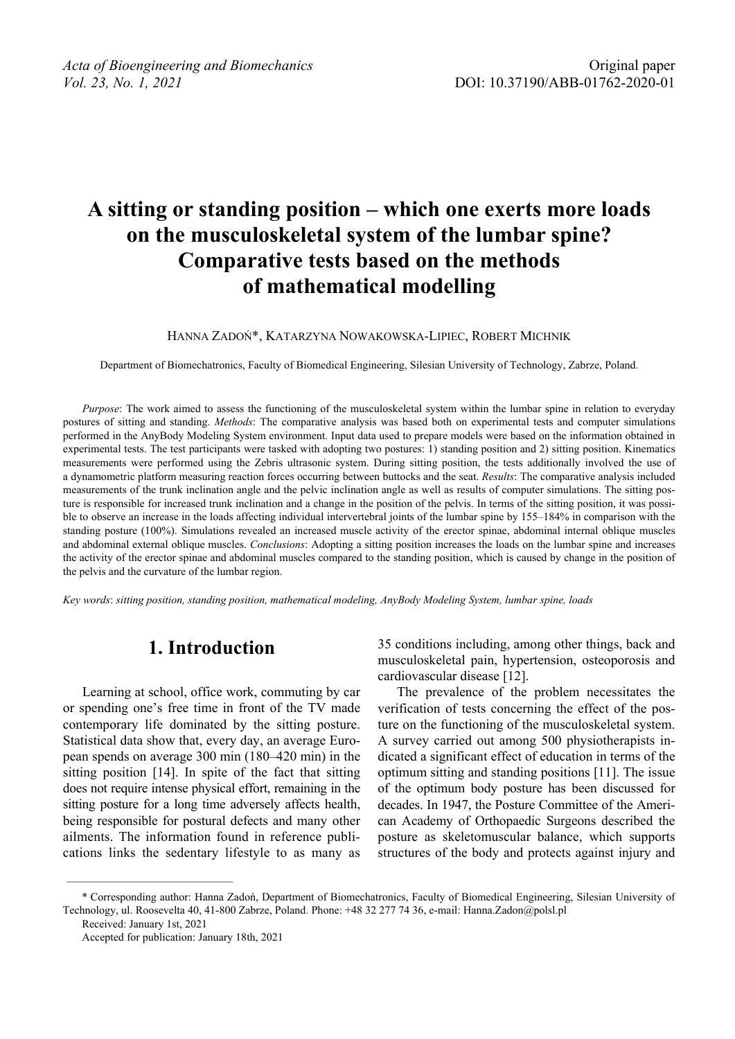# **A sitting or standing position – which one exerts more loads on the musculoskeletal system of the lumbar spine? Comparative tests based on the methods of mathematical modelling**

HANNA ZADOŃ\*, KATARZYNA NOWAKOWSKA-LIPIEC, ROBERT MICHNIK

Department of Biomechatronics, Faculty of Biomedical Engineering, Silesian University of Technology, Zabrze, Poland.

*Purpose*: The work aimed to assess the functioning of the musculoskeletal system within the lumbar spine in relation to everyday postures of sitting and standing. *Methods*: The comparative analysis was based both on experimental tests and computer simulations performed in the AnyBody Modeling System environment. Input data used to prepare models were based on the information obtained in experimental tests. The test participants were tasked with adopting two postures: 1) standing position and 2) sitting position. Kinematics measurements were performed using the Zebris ultrasonic system. During sitting position, the tests additionally involved the use of a dynamometric platform measuring reaction forces occurring between buttocks and the seat. *Results*: The comparative analysis included measurements of the trunk inclination angle and the pelvic inclination angle as well as results of computer simulations. The sitting posture is responsible for increased trunk inclination and a change in the position of the pelvis. In terms of the sitting position, it was possible to observe an increase in the loads affecting individual intervertebral joints of the lumbar spine by 155–184% in comparison with the standing posture (100%). Simulations revealed an increased muscle activity of the erector spinae, abdominal internal oblique muscles and abdominal external oblique muscles. *Conclusions*: Adopting a sitting position increases the loads on the lumbar spine and increases the activity of the erector spinae and abdominal muscles compared to the standing position, which is caused by change in the position of the pelvis and the curvature of the lumbar region.

*Key words*: *sitting position, standing position, mathematical modeling, AnyBody Modeling System, lumbar spine, loads*

## **1. Introduction**

Learning at school, office work, commuting by car or spending one's free time in front of the TV made contemporary life dominated by the sitting posture. Statistical data show that, every day, an average European spends on average 300 min (180–420 min) in the sitting position [14]. In spite of the fact that sitting does not require intense physical effort, remaining in the sitting posture for a long time adversely affects health, being responsible for postural defects and many other ailments. The information found in reference publications links the sedentary lifestyle to as many as 35 conditions including, among other things, back and musculoskeletal pain, hypertension, osteoporosis and cardiovascular disease [12].

The prevalence of the problem necessitates the verification of tests concerning the effect of the posture on the functioning of the musculoskeletal system. A survey carried out among 500 physiotherapists indicated a significant effect of education in terms of the optimum sitting and standing positions [11]. The issue of the optimum body posture has been discussed for decades. In 1947, the Posture Committee of the American Academy of Orthopaedic Surgeons described the posture as skeletomuscular balance, which supports structures of the body and protects against injury and

<sup>\*</sup> Corresponding author: Hanna Zadoń, Department of Biomechatronics, Faculty of Biomedical Engineering, Silesian University of Technology, ul. Roosevelta 40, 41-800 Zabrze, Poland. Phone: +48 32 277 74 36, e-mail: Hanna.Zadon@polsl.pl

Received: January 1st, 2021

Accepted for publication: January 18th, 2021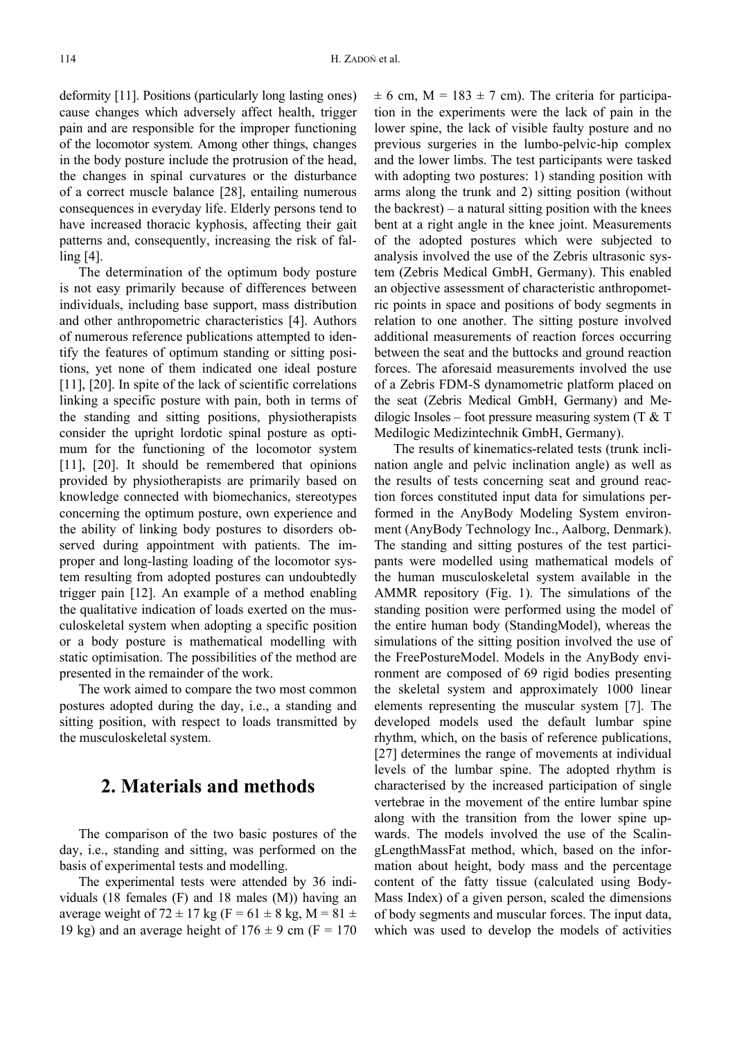deformity [11]. Positions (particularly long lasting ones) cause changes which adversely affect health, trigger pain and are responsible for the improper functioning of the locomotor system. Among other things, changes in the body posture include the protrusion of the head, the changes in spinal curvatures or the disturbance of a correct muscle balance [28], entailing numerous consequences in everyday life. Elderly persons tend to have increased thoracic kyphosis, affecting their gait patterns and, consequently, increasing the risk of falling [4].

The determination of the optimum body posture is not easy primarily because of differences between individuals, including base support, mass distribution and other anthropometric characteristics [4]. Authors of numerous reference publications attempted to identify the features of optimum standing or sitting positions, yet none of them indicated one ideal posture [11], [20]. In spite of the lack of scientific correlations linking a specific posture with pain, both in terms of the standing and sitting positions, physiotherapists consider the upright lordotic spinal posture as optimum for the functioning of the locomotor system [11], [20]. It should be remembered that opinions provided by physiotherapists are primarily based on knowledge connected with biomechanics, stereotypes concerning the optimum posture, own experience and the ability of linking body postures to disorders observed during appointment with patients. The improper and long-lasting loading of the locomotor system resulting from adopted postures can undoubtedly trigger pain [12]. An example of a method enabling the qualitative indication of loads exerted on the musculoskeletal system when adopting a specific position or a body posture is mathematical modelling with static optimisation. The possibilities of the method are presented in the remainder of the work.

The work aimed to compare the two most common postures adopted during the day, i.e., a standing and sitting position, with respect to loads transmitted by the musculoskeletal system.

## **2. Materials and methods**

The comparison of the two basic postures of the day, i.e., standing and sitting, was performed on the basis of experimental tests and modelling.

The experimental tests were attended by 36 individuals (18 females (F) and 18 males (M)) having an average weight of 72  $\pm$  17 kg (F = 61  $\pm$  8 kg, M = 81  $\pm$ 19 kg) and an average height of  $176 \pm 9$  cm (F = 170  $\pm$  6 cm, M = 183  $\pm$  7 cm). The criteria for participation in the experiments were the lack of pain in the lower spine, the lack of visible faulty posture and no previous surgeries in the lumbo-pelvic-hip complex and the lower limbs. The test participants were tasked with adopting two postures: 1) standing position with arms along the trunk and 2) sitting position (without the backrest) – a natural sitting position with the knees bent at a right angle in the knee joint. Measurements of the adopted postures which were subjected to analysis involved the use of the Zebris ultrasonic system (Zebris Medical GmbH, Germany). This enabled an objective assessment of characteristic anthropometric points in space and positions of body segments in relation to one another. The sitting posture involved additional measurements of reaction forces occurring between the seat and the buttocks and ground reaction forces. The aforesaid measurements involved the use of a Zebris FDM-S dynamometric platform placed on the seat (Zebris Medical GmbH, Germany) and Medilogic Insoles – foot pressure measuring system  $(T & T)$ Medilogic Medizintechnik GmbH, Germany).

The results of kinematics-related tests (trunk inclination angle and pelvic inclination angle) as well as the results of tests concerning seat and ground reaction forces constituted input data for simulations performed in the AnyBody Modeling System environment (AnyBody Technology Inc., Aalborg, Denmark). The standing and sitting postures of the test participants were modelled using mathematical models of the human musculoskeletal system available in the AMMR repository (Fig. 1). The simulations of the standing position were performed using the model of the entire human body (StandingModel), whereas the simulations of the sitting position involved the use of the FreePostureModel. Models in the AnyBody environment are composed of 69 rigid bodies presenting the skeletal system and approximately 1000 linear elements representing the muscular system [7]. The developed models used the default lumbar spine rhythm, which, on the basis of reference publications, [27] determines the range of movements at individual levels of the lumbar spine. The adopted rhythm is characterised by the increased participation of single vertebrae in the movement of the entire lumbar spine along with the transition from the lower spine upwards. The models involved the use of the ScalingLengthMassFat method, which, based on the information about height, body mass and the percentage content of the fatty tissue (calculated using Body-Mass Index) of a given person, scaled the dimensions of body segments and muscular forces. The input data, which was used to develop the models of activities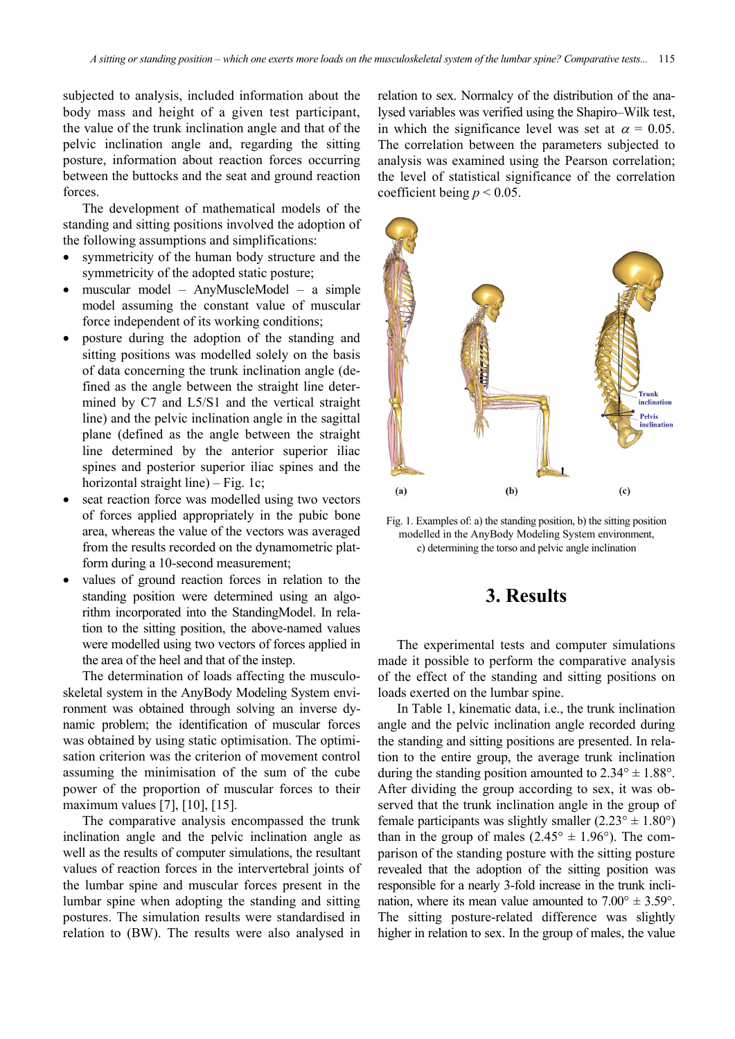subjected to analysis, included information about the body mass and height of a given test participant, the value of the trunk inclination angle and that of the pelvic inclination angle and, regarding the sitting posture, information about reaction forces occurring between the buttocks and the seat and ground reaction forces.

The development of mathematical models of the standing and sitting positions involved the adoption of the following assumptions and simplifications:

- symmetricity of the human body structure and the symmetricity of the adopted static posture;
- muscular model AnyMuscleModel a simple model assuming the constant value of muscular force independent of its working conditions;
- posture during the adoption of the standing and sitting positions was modelled solely on the basis of data concerning the trunk inclination angle (defined as the angle between the straight line determined by C7 and L5/S1 and the vertical straight line) and the pelvic inclination angle in the sagittal plane (defined as the angle between the straight line determined by the anterior superior iliac spines and posterior superior iliac spines and the horizontal straight line) – Fig. 1c;
- seat reaction force was modelled using two vectors of forces applied appropriately in the pubic bone area, whereas the value of the vectors was averaged from the results recorded on the dynamometric platform during a 10-second measurement;
- values of ground reaction forces in relation to the standing position were determined using an algorithm incorporated into the StandingModel. In relation to the sitting position, the above-named values were modelled using two vectors of forces applied in the area of the heel and that of the instep.

The determination of loads affecting the musculoskeletal system in the AnyBody Modeling System environment was obtained through solving an inverse dynamic problem; the identification of muscular forces was obtained by using static optimisation. The optimisation criterion was the criterion of movement control assuming the minimisation of the sum of the cube power of the proportion of muscular forces to their maximum values [7], [10], [15].

The comparative analysis encompassed the trunk inclination angle and the pelvic inclination angle as well as the results of computer simulations, the resultant values of reaction forces in the intervertebral joints of the lumbar spine and muscular forces present in the lumbar spine when adopting the standing and sitting postures. The simulation results were standardised in relation to (BW). The results were also analysed in

relation to sex. Normalcy of the distribution of the analysed variables was verified using the Shapiro–Wilk test, in which the significance level was set at  $\alpha = 0.05$ . The correlation between the parameters subjected to analysis was examined using the Pearson correlation; the level of statistical significance of the correlation coefficient being  $p < 0.05$ .





## **3. Results**

The experimental tests and computer simulations made it possible to perform the comparative analysis of the effect of the standing and sitting positions on loads exerted on the lumbar spine.

In Table 1, kinematic data, i.e., the trunk inclination angle and the pelvic inclination angle recorded during the standing and sitting positions are presented. In relation to the entire group, the average trunk inclination during the standing position amounted to  $2.34^{\circ} \pm 1.88^{\circ}$ . After dividing the group according to sex, it was observed that the trunk inclination angle in the group of female participants was slightly smaller  $(2.23^{\circ} \pm 1.80^{\circ})$ than in the group of males  $(2.45^{\circ} \pm 1.96^{\circ})$ . The comparison of the standing posture with the sitting posture revealed that the adoption of the sitting position was responsible for a nearly 3-fold increase in the trunk inclination, where its mean value amounted to  $7.00^{\circ} \pm 3.59^{\circ}$ . The sitting posture-related difference was slightly higher in relation to sex. In the group of males, the value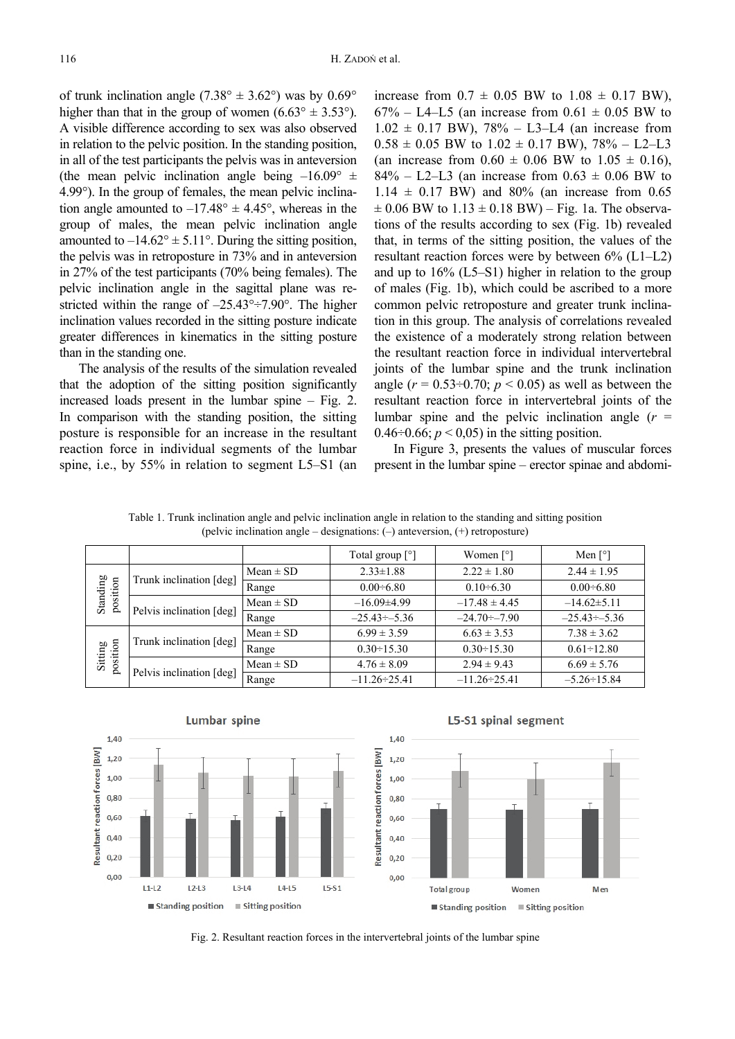of trunk inclination angle  $(7.38^{\circ} \pm 3.62^{\circ})$  was by  $0.69^{\circ}$ higher than that in the group of women  $(6.63^{\circ} \pm 3.53^{\circ})$ . A visible difference according to sex was also observed in relation to the pelvic position. In the standing position, in all of the test participants the pelvis was in anteversion (the mean pelvic inclination angle being  $-16.09^{\circ}$   $\pm$ 4.99°). In the group of females, the mean pelvic inclination angle amounted to  $-17.48^{\circ} \pm 4.45^{\circ}$ , whereas in the group of males, the mean pelvic inclination angle amounted to  $-14.62^{\circ} \pm 5.11^{\circ}$ . During the sitting position, the pelvis was in retroposture in 73% and in anteversion in 27% of the test participants (70% being females). The pelvic inclination angle in the sagittal plane was restricted within the range of  $-25.43^{\circ} \div 7.90^{\circ}$ . The higher inclination values recorded in the sitting posture indicate greater differences in kinematics in the sitting posture than in the standing one.

The analysis of the results of the simulation revealed that the adoption of the sitting position significantly increased loads present in the lumbar spine – Fig. 2. In comparison with the standing position, the sitting posture is responsible for an increase in the resultant reaction force in individual segments of the lumbar spine, i.e., by 55% in relation to segment L5–S1 (an

increase from  $0.7 \pm 0.05$  BW to  $1.08 \pm 0.17$  BW),  $67\% - L4 - L5$  (an increase from  $0.61 \pm 0.05$  BW to  $1.02 \pm 0.17$  BW), 78% – L3–L4 (an increase from  $0.58 \pm 0.05$  BW to  $1.02 \pm 0.17$  BW),  $78\% - L2 - L3$ (an increase from  $0.60 \pm 0.06$  BW to  $1.05 \pm 0.16$ ), 84% – L2–L3 (an increase from  $0.63 \pm 0.06$  BW to  $1.14 \pm 0.17$  BW) and 80% (an increase from 0.65  $\pm 0.06$  BW to  $1.13 \pm 0.18$  BW) – Fig. 1a. The observations of the results according to sex (Fig. 1b) revealed that, in terms of the sitting position, the values of the resultant reaction forces were by between 6% (L1–L2) and up to 16% (L5–S1) higher in relation to the group of males (Fig. 1b), which could be ascribed to a more common pelvic retroposture and greater trunk inclination in this group. The analysis of correlations revealed the existence of a moderately strong relation between the resultant reaction force in individual intervertebral joints of the lumbar spine and the trunk inclination angle  $(r = 0.53 \div 0.70; p < 0.05)$  as well as between the resultant reaction force in intervertebral joints of the lumbar spine and the pelvic inclination angle  $(r =$ 0.46 $\div$ 0.66;  $p < 0.05$ ) in the sitting position.

In Figure 3, presents the values of muscular forces present in the lumbar spine – erector spinae and abdomi-

Table 1. Trunk inclination angle and pelvic inclination angle in relation to the standing and sitting position (pelvic inclination angle – designations: (–) anteversion, (+) retroposture)

|                      |                          |               | Total group $\lceil \circ \rceil$ | Women $\lceil$ °]   | Men $\lceil$ °]     |
|----------------------|--------------------------|---------------|-----------------------------------|---------------------|---------------------|
| Standing<br>position | Trunk inclination [deg]  | $Mean \pm SD$ | $2.33 \pm 1.88$                   | $2.22 \pm 1.80$     | $2.44 \pm 1.95$     |
|                      |                          | Range         | $0.00 - 6.80$                     | $0.10 \div 6.30$    | $0.00 - 6.80$       |
|                      | Pelvis inclination [deg] | $Mean \pm SD$ | $-16.09\pm4.99$                   | $-17.48 \pm 4.45$   | $-14.62\pm5.11$     |
|                      |                          | Range         | $-25.43 \div -5.36$               | $-24.70 \div -7.90$ | $-25.43 \div -5.36$ |
| position<br>Sitting  | Trunk inclination [deg]  | $Mean \pm SD$ | $6.99 \pm 3.59$                   | $6.63 \pm 3.53$     | $7.38 \pm 3.62$     |
|                      |                          | Range         | $0.30 \div 15.30$                 | $0.30 \div 15.30$   | $0.61 - 12.80$      |
|                      | Pelvis inclination [deg] | $Mean \pm SD$ | $4.76 \pm 8.09$                   | $2.94 \pm 9.43$     | $6.69 \pm 5.76$     |
|                      |                          | Range         | $-11.26 \div 25.41$               | $-11.26 \div 25.41$ | $-5.26 \div 15.84$  |



Fig. 2. Resultant reaction forces in the intervertebral joints of the lumbar spine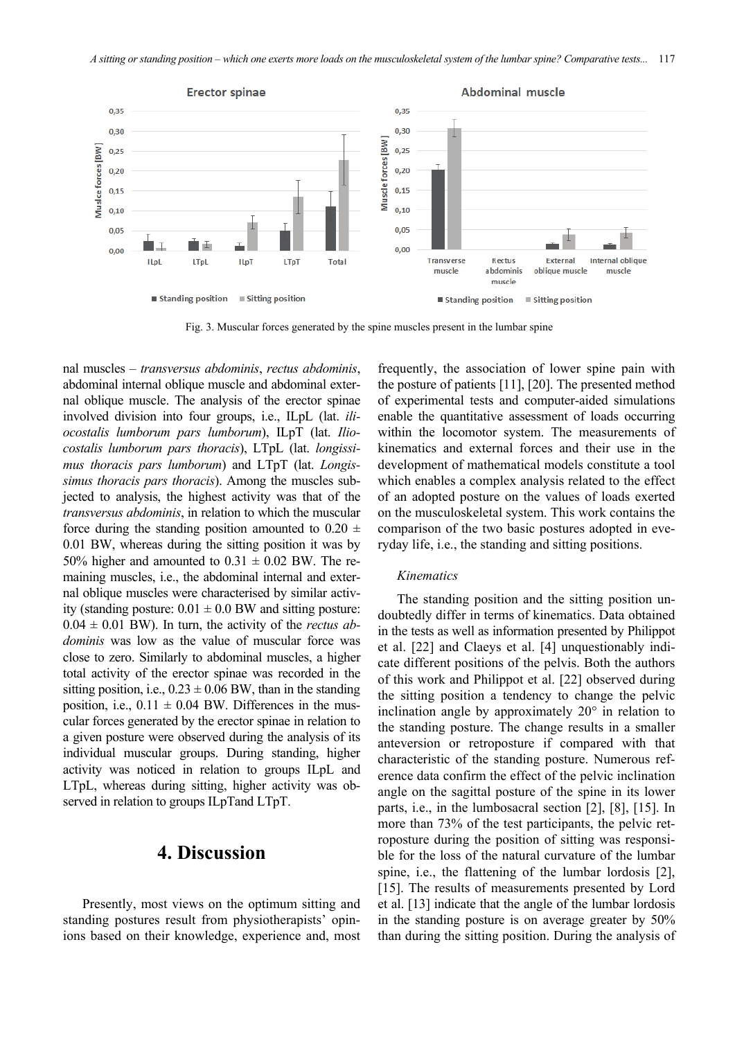

Fig. 3. Muscular forces generated by the spine muscles present in the lumbar spine

nal muscles – *transversus abdominis*, *rectus abdominis*, abdominal internal oblique muscle and abdominal external oblique muscle. The analysis of the erector spinae involved division into four groups, i.e., ILpL (lat. *iliocostalis lumborum pars lumborum*), ILpT (lat. *Iliocostalis lumborum pars thoracis*), LTpL (lat. *longissimus thoracis pars lumborum*) and LTpT (lat. *Longissimus thoracis pars thoracis*). Among the muscles subjected to analysis, the highest activity was that of the *transversus abdominis*, in relation to which the muscular force during the standing position amounted to  $0.20 \pm$ 0.01 BW, whereas during the sitting position it was by 50% higher and amounted to  $0.31 \pm 0.02$  BW. The remaining muscles, i.e., the abdominal internal and external oblique muscles were characterised by similar activity (standing posture:  $0.01 \pm 0.0$  BW and sitting posture:  $0.04 \pm 0.01$  BW). In turn, the activity of the *rectus abdominis* was low as the value of muscular force was close to zero. Similarly to abdominal muscles, a higher total activity of the erector spinae was recorded in the sitting position, i.e.,  $0.23 \pm 0.06$  BW, than in the standing position, i.e.,  $0.11 \pm 0.04$  BW. Differences in the muscular forces generated by the erector spinae in relation to a given posture were observed during the analysis of its individual muscular groups. During standing, higher activity was noticed in relation to groups ILpL and LTpL, whereas during sitting, higher activity was observed in relation to groups ILpTand LTpT.

### **4. Discussion**

Presently, most views on the optimum sitting and standing postures result from physiotherapists' opinions based on their knowledge, experience and, most frequently, the association of lower spine pain with the posture of patients [11], [20]. The presented method of experimental tests and computer-aided simulations enable the quantitative assessment of loads occurring within the locomotor system. The measurements of kinematics and external forces and their use in the development of mathematical models constitute a tool which enables a complex analysis related to the effect of an adopted posture on the values of loads exerted on the musculoskeletal system. This work contains the comparison of the two basic postures adopted in everyday life, i.e., the standing and sitting positions.

#### *Kinematics*

The standing position and the sitting position undoubtedly differ in terms of kinematics. Data obtained in the tests as well as information presented by Philippot et al. [22] and Claeys et al. [4] unquestionably indicate different positions of the pelvis. Both the authors of this work and Philippot et al. [22] observed during the sitting position a tendency to change the pelvic inclination angle by approximately 20° in relation to the standing posture. The change results in a smaller anteversion or retroposture if compared with that characteristic of the standing posture. Numerous reference data confirm the effect of the pelvic inclination angle on the sagittal posture of the spine in its lower parts, i.e., in the lumbosacral section [2], [8], [15]. In more than 73% of the test participants, the pelvic retroposture during the position of sitting was responsible for the loss of the natural curvature of the lumbar spine, i.e., the flattening of the lumbar lordosis [2], [15]. The results of measurements presented by Lord et al. [13] indicate that the angle of the lumbar lordosis in the standing posture is on average greater by 50% than during the sitting position. During the analysis of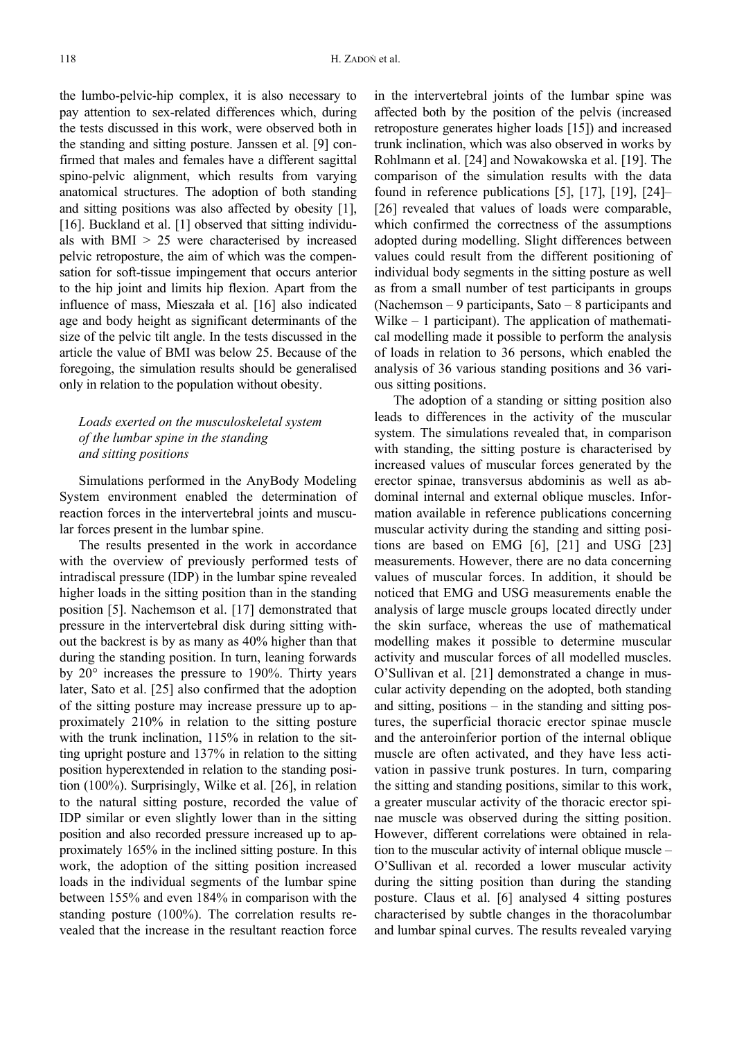the lumbo-pelvic-hip complex, it is also necessary to pay attention to sex-related differences which, during the tests discussed in this work, were observed both in the standing and sitting posture. Janssen et al. [9] confirmed that males and females have a different sagittal spino-pelvic alignment, which results from varying anatomical structures. The adoption of both standing and sitting positions was also affected by obesity [1], [16]. Buckland et al. [1] observed that sitting individuals with BMI > 25 were characterised by increased pelvic retroposture, the aim of which was the compensation for soft-tissue impingement that occurs anterior to the hip joint and limits hip flexion. Apart from the influence of mass, Mieszała et al. [16] also indicated age and body height as significant determinants of the size of the pelvic tilt angle. In the tests discussed in the article the value of BMI was below 25. Because of the foregoing, the simulation results should be generalised only in relation to the population without obesity.

#### *Loads exerted on the musculoskeletal system of the lumbar spine in the standing and sitting positions*

Simulations performed in the AnyBody Modeling System environment enabled the determination of reaction forces in the intervertebral joints and muscular forces present in the lumbar spine.

The results presented in the work in accordance with the overview of previously performed tests of intradiscal pressure (IDP) in the lumbar spine revealed higher loads in the sitting position than in the standing position [5]. Nachemson et al. [17] demonstrated that pressure in the intervertebral disk during sitting without the backrest is by as many as 40% higher than that during the standing position. In turn, leaning forwards by 20° increases the pressure to 190%. Thirty years later, Sato et al. [25] also confirmed that the adoption of the sitting posture may increase pressure up to approximately 210% in relation to the sitting posture with the trunk inclination,  $115%$  in relation to the sitting upright posture and 137% in relation to the sitting position hyperextended in relation to the standing position (100%). Surprisingly, Wilke et al. [26], in relation to the natural sitting posture, recorded the value of IDP similar or even slightly lower than in the sitting position and also recorded pressure increased up to approximately 165% in the inclined sitting posture. In this work, the adoption of the sitting position increased loads in the individual segments of the lumbar spine between 155% and even 184% in comparison with the standing posture (100%). The correlation results revealed that the increase in the resultant reaction force

in the intervertebral joints of the lumbar spine was affected both by the position of the pelvis (increased retroposture generates higher loads [15]) and increased trunk inclination, which was also observed in works by Rohlmann et al. [24] and Nowakowska et al. [19]. The comparison of the simulation results with the data found in reference publications [5], [17], [19], [24]– [26] revealed that values of loads were comparable, which confirmed the correctness of the assumptions adopted during modelling. Slight differences between values could result from the different positioning of individual body segments in the sitting posture as well as from a small number of test participants in groups (Nachemson – 9 participants, Sato – 8 participants and Wilke – 1 participant). The application of mathematical modelling made it possible to perform the analysis of loads in relation to 36 persons, which enabled the analysis of 36 various standing positions and 36 various sitting positions.

The adoption of a standing or sitting position also leads to differences in the activity of the muscular system. The simulations revealed that, in comparison with standing, the sitting posture is characterised by increased values of muscular forces generated by the erector spinae, transversus abdominis as well as abdominal internal and external oblique muscles. Information available in reference publications concerning muscular activity during the standing and sitting positions are based on EMG [6], [21] and USG [23] measurements. However, there are no data concerning values of muscular forces. In addition, it should be noticed that EMG and USG measurements enable the analysis of large muscle groups located directly under the skin surface, whereas the use of mathematical modelling makes it possible to determine muscular activity and muscular forces of all modelled muscles. O'Sullivan et al. [21] demonstrated a change in muscular activity depending on the adopted, both standing and sitting, positions – in the standing and sitting postures, the superficial thoracic erector spinae muscle and the anteroinferior portion of the internal oblique muscle are often activated, and they have less activation in passive trunk postures. In turn, comparing the sitting and standing positions, similar to this work, a greater muscular activity of the thoracic erector spinae muscle was observed during the sitting position. However, different correlations were obtained in relation to the muscular activity of internal oblique muscle – O'Sullivan et al. recorded a lower muscular activity during the sitting position than during the standing posture. Claus et al. [6] analysed 4 sitting postures characterised by subtle changes in the thoracolumbar and lumbar spinal curves. The results revealed varying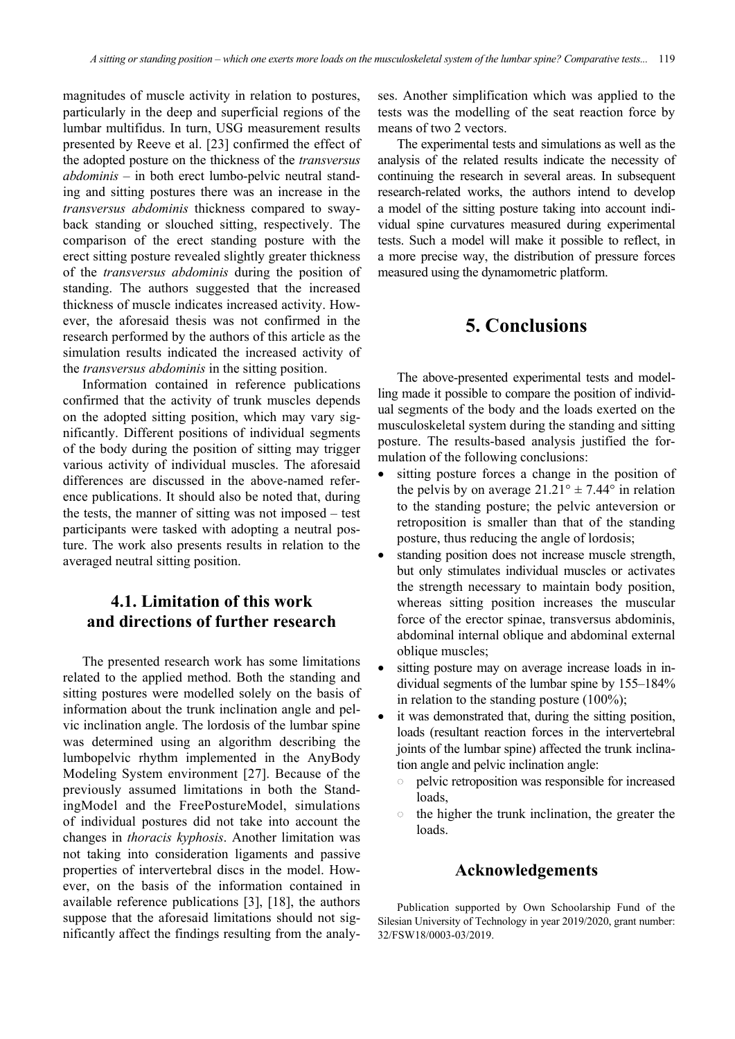magnitudes of muscle activity in relation to postures, particularly in the deep and superficial regions of the lumbar multifidus. In turn, USG measurement results presented by Reeve et al. [23] confirmed the effect of the adopted posture on the thickness of the *transversus abdominis* – in both erect lumbo-pelvic neutral standing and sitting postures there was an increase in the *transversus abdominis* thickness compared to swayback standing or slouched sitting, respectively. The comparison of the erect standing posture with the erect sitting posture revealed slightly greater thickness of the *transversus abdominis* during the position of standing. The authors suggested that the increased thickness of muscle indicates increased activity. However, the aforesaid thesis was not confirmed in the research performed by the authors of this article as the simulation results indicated the increased activity of the *transversus abdominis* in the sitting position.

Information contained in reference publications confirmed that the activity of trunk muscles depends on the adopted sitting position, which may vary significantly. Different positions of individual segments of the body during the position of sitting may trigger various activity of individual muscles. The aforesaid differences are discussed in the above-named reference publications. It should also be noted that, during the tests, the manner of sitting was not imposed – test participants were tasked with adopting a neutral posture. The work also presents results in relation to the averaged neutral sitting position.

## **4.1. Limitation of this work and directions of further research**

The presented research work has some limitations related to the applied method. Both the standing and sitting postures were modelled solely on the basis of information about the trunk inclination angle and pelvic inclination angle. The lordosis of the lumbar spine was determined using an algorithm describing the lumbopelvic rhythm implemented in the AnyBody Modeling System environment [27]. Because of the previously assumed limitations in both the StandingModel and the FreePostureModel, simulations of individual postures did not take into account the changes in *thoracis kyphosis*. Another limitation was not taking into consideration ligaments and passive properties of intervertebral discs in the model. However, on the basis of the information contained in available reference publications [3], [18], the authors suppose that the aforesaid limitations should not significantly affect the findings resulting from the analyses. Another simplification which was applied to the tests was the modelling of the seat reaction force by means of two 2 vectors.

The experimental tests and simulations as well as the analysis of the related results indicate the necessity of continuing the research in several areas. In subsequent research-related works, the authors intend to develop a model of the sitting posture taking into account individual spine curvatures measured during experimental tests. Such a model will make it possible to reflect, in a more precise way, the distribution of pressure forces measured using the dynamometric platform.

## **5. Conclusions**

The above-presented experimental tests and modelling made it possible to compare the position of individual segments of the body and the loads exerted on the musculoskeletal system during the standing and sitting posture. The results-based analysis justified the formulation of the following conclusions:

- sitting posture forces a change in the position of the pelvis by on average  $21.21^{\circ} \pm 7.44^{\circ}$  in relation to the standing posture; the pelvic anteversion or retroposition is smaller than that of the standing posture, thus reducing the angle of lordosis;
- standing position does not increase muscle strength, but only stimulates individual muscles or activates the strength necessary to maintain body position, whereas sitting position increases the muscular force of the erector spinae, transversus abdominis, abdominal internal oblique and abdominal external oblique muscles;
- sitting posture may on average increase loads in individual segments of the lumbar spine by 155–184% in relation to the standing posture (100%);
- it was demonstrated that, during the sitting position, loads (resultant reaction forces in the intervertebral joints of the lumbar spine) affected the trunk inclination angle and pelvic inclination angle:
	- pelvic retroposition was responsible for increased  $\circ$ loads,
	- $\circ$ the higher the trunk inclination, the greater the loads.

#### **Acknowledgements**

Publication supported by Own Schoolarship Fund of the Silesian University of Technology in year 2019/2020, grant number: 32/FSW18/0003-03/2019.